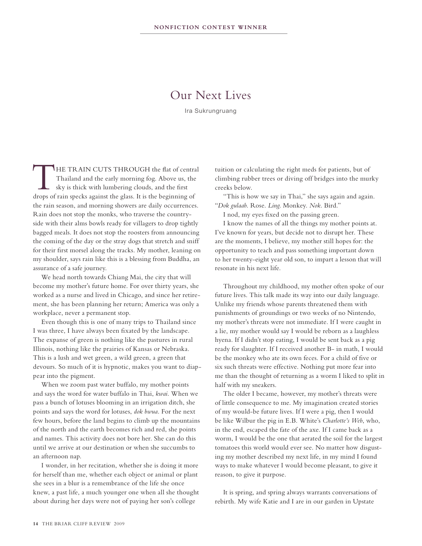## Our Next Lives

Ira Sukrungruang

THE TRAIN CUTS THROUGH the flat of central<br>Thailand and the early morning fog. Above us, the<br>sky is thick with lumbering clouds, and the first<br>drops of rain specks against the class. It is the beginning of Thailand and the early morning fog. Above us, the sky is thick with lumbering clouds, and the first drops of rain specks against the glass. It is the beginning of the rain season, and morning showers are daily occurrences. Rain does not stop the monks, who traverse the countryside with their alms bowls ready for villagers to drop tightly bagged meals. It does not stop the roosters from announcing the coming of the day or the stray dogs that stretch and sniff for their first morsel along the tracks. My mother, leaning on my shoulder, says rain like this is a blessing from Buddha, an assurance of a safe journey.

 We head north towards Chiang Mai, the city that will become my mother's future home. For over thirty years, she worked as a nurse and lived in Chicago, and since her retirement, she has been planning her return; America was only a workplace, never a permanent stop.

 Even though this is one of many trips to Thailand since I was three, I have always been fixated by the landscape. The expanse of green is nothing like the pastures in rural Illinois, nothing like the prairies of Kansas or Nebraska. This is a lush and wet green, a wild green, a green that devours. So much of it is hypnotic, makes you want to diappear into the pigment.

 When we zoom past water buffalo, my mother points and says the word for water buffalo in Thai, *kwai*. When we pass a bunch of lotuses blooming in an irrigation ditch, she points and says the word for lotuses, *dok bwua*. For the next few hours, before the land begins to climb up the mountains of the north and the earth becomes rich and red, she points and names. This activity does not bore her. She can do this until we arrive at our destination or when she succumbs to an afternoon nap.

 I wonder, in her recitation, whether she is doing it more for herself than me, whether each object or animal or plant she sees in a blur is a remembrance of the life she once knew, a past life, a much younger one when all she thought about during her days were not of paying her son's college

tuition or calculating the right meds for patients, but of climbing rubber trees or diving off bridges into the murky creeks below.

"This is how we say in Thai," she says again and again. "*Dok gulaab*. Rose. *Ling*. Monkey. *Nok*. Bird."

I nod, my eyes fixed on the passing green.

 I know the names of all the things my mother points at. I've known for years, but decide not to disrupt her. These are the moments, I believe, my mother still hopes for: the opportunity to teach and pass something important down to her twenty-eight year old son, to impart a lesson that will resonate in his next life.

Throughout my childhood, my mother often spoke of our future lives. This talk made its way into our daily language. Unlike my friends whose parents threatened them with punishments of groundings or two weeks of no Nintendo, my mother's threats were not immediate. If I were caught in a lie, my mother would say I would be reborn as a laughless hyena. If I didn't stop eating, I would be sent back as a pig ready for slaughter. If I received another B- in math, I would be the monkey who ate its own feces. For a child of five or six such threats were effective. Nothing put more fear into me than the thought of returning as a worm I liked to split in half with my sneakers.

The older I became, however, my mother's threats were of little consequence to me. My imagination created stories of my would-be future lives. If I were a pig, then I would be like Wilbur the pig in E.B. White's *Charlotte's Web*, who, in the end, escaped the fate of the axe. If I came back as a worm, I would be the one that aerated the soil for the largest tomatoes this world would ever see. No matter how disgusting my mother described my next life, in my mind I found ways to make whatever I would become pleasant, to give it reason, to give it purpose.

 It is spring, and spring always warrants conversations of rebirth. My wife Katie and I are in our garden in Upstate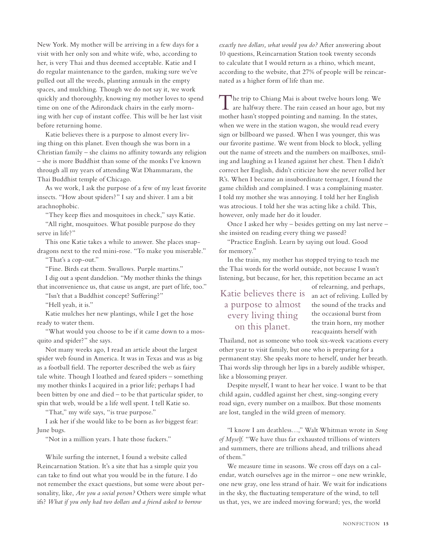New York. My mother will be arriving in a few days for a visit with her only son and white wife, who, according to her, is very Thai and thus deemed acceptable. Katie and I do regular maintenance to the garden, making sure we've pulled out all the weeds, planting annuals in the empty spaces, and mulching. Though we do not say it, we work quickly and thoroughly, knowing my mother loves to spend time on one of the Adirondack chairs in the early morning with her cup of instant coffee. This will be her last visit before returning home.

Katie believes there is a purpose to almost every living thing on this planet. Even though she was born in a Christian family – she claims no affinity towards any religion – she is more Buddhist than some of the monks I've known through all my years of attending Wat Dhammaram, the Thai Buddhist temple of Chicago.

 As we work, I ask the purpose of a few of my least favorite insects. "How about spiders?" I say and shiver. I am a bit arachnophobic.

"They keep flies and mosquitoes in check," says Katie.

"All right, mosquitoes. What possible purpose do they serve in life?"

This one Katie takes a while to answer. She places snapdragons next to the red mini-rose. "To make you miserable."

"That's a cop-out."

"Fine. Birds eat them. Swallows. Purple martins."

 I dig out a spent dandelion. "My mother thinks the things that inconvenience us, that cause us angst, are part of life, too."

"Isn't that a Buddhist concept? Suffering?"

"Hell yeah, it is."

Katie mulches her new plantings, while I get the hose ready to water them.

"What would you choose to be if it came down to a mosquito and spider?" she says.

 Not many weeks ago, I read an article about the largest spider web found in America. It was in Texas and was as big as a football field. The reporter described the web as fairy tale white. Though I loathed and feared spiders – something my mother thinks I acquired in a prior life; perhaps I had been bitten by one and died – to be that particular spider, to spin that web, would be a life well spent. I tell Katie so.

"That," my wife says, "is true purpose."

 I ask her if she would like to be born as *her* biggest fear: June bugs.

"Not in a million years. I hate those fuckers."

 While surfing the internet, I found a website called Reincarnation Station. It's a site that has a simple quiz you can take to find out what you would be in the future. I do not remember the exact questions, but some were about personality, like, *Are you a social person?* Others were simple what ifs? *What if you only had two dollars and a friend asked to borrow* 

*exactly two dollars, what would you do?* After answering about 10 questions, Reincarnation Station took twenty seconds to calculate that I would return as a rhino, which meant, according to the website, that 27% of people will be reincarnated as a higher form of life than me.

The trip to Chiang Mai is about twelve hours long. We  $\perp$  are halfway there. The rain ceased an hour ago, but my mother hasn't stopped pointing and naming. In the states, when we were in the station wagon, she would read every sign or billboard we passed. When I was younger, this was our favorite pastime. We went from block to block, yelling out the name of streets and the numbers on mailboxes, smiling and laughing as I leaned against her chest. Then I didn't correct her English, didn't criticize how she never rolled her R's. When I became an insubordinate teenager, I found the game childish and complained. I was a complaining master. I told my mother she was annoying. I told her her English was atrocious. I told her she was acting like a child. This, however, only made her do it louder.

 Once I asked her why – besides getting on my last nerve – she insisted on reading every thing we passed?

"Practice English. Learn by saying out loud. Good for memory."

 In the train, my mother has stopped trying to teach me the Thai words for the world outside, not because I wasn't listening, but because, for her, this repetition became an act

## Katie believes there is a purpose to almost every living thing on this planet.

of relearning, and perhaps, an act of reliving. Lulled by the sound of the tracks and the occasional burst from the train horn, my mother reacquaints herself with

Thailand, not as someone who took six-week vacations every other year to visit family, but one who is preparing for a permanent stay. She speaks more to herself, under her breath. Thai words slip through her lips in a barely audible whisper, like a blossoming prayer.

Despite myself, I want to hear her voice. I want to be that child again, cuddled against her chest, sing-songing every road sign, every number on a mailbox. But those moments are lost, tangled in the wild green of memory.

"I know I am deathless…," Walt Whitman wrote in *Song of Myself*. "We have thus far exhausted trillions of winters and summers, there are trillions ahead, and trillions ahead of them."

 We measure time in seasons. We cross off days on a calendar, watch ourselves age in the mirror – one new wrinkle, one new gray, one less strand of hair. We wait for indications in the sky, the fluctuating temperature of the wind, to tell us that, yes, we are indeed moving forward; yes, the world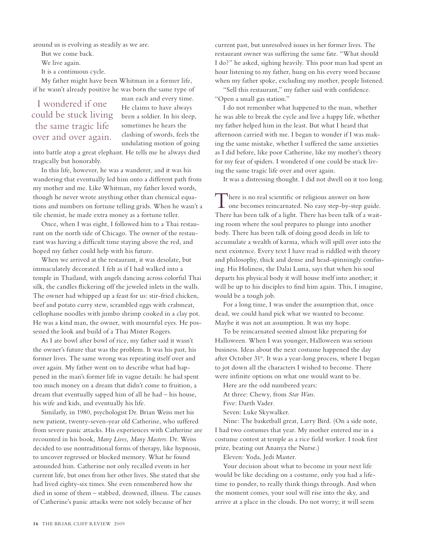around us is evolving as steadily as we are.

But we come back.

We live again.

It is a continuous cycle.

My father might have been Whitman in a former life, if he wasn't already positive he was born the same type of

## I wondered if one could be stuck living the same tragic life over and over again.

man each and every time. He claims to have always been a soldier. In his sleep, sometimes he hears the clashing of swords, feels the undulating motion of going

into battle atop a great elephant. He tells me he always died tragically but honorably.

 In this life, however, he was a wanderer, and it was his wandering that eventually led him onto a different path from my mother and me. Like Whitman, my father loved words, though he never wrote anything other than chemical equations and numbers on fortune telling grids. When he wasn't a tile chemist, he made extra money as a fortune teller.

 Once, when I was eight, I followed him to a Thai restaurant on the north side of Chicago. The owner of the restaurant was having a difficult time staying above the red, and hoped my father could help with his future.

 When we arrived at the restaurant, it was desolate, but immaculately decorated. I felt as if I had walked into a temple in Thailand, with angels dancing across colorful Thai silk, the candles flickering off the jeweled inlets in the walls. The owner had whipped up a feast for us: stir-fried chicken, beef and potato curry stew, scrambled eggs with crabmeat, cellophane noodles with jumbo shrimp cooked in a clay pot. He was a kind man, the owner, with mournful eyes. He possessed the look and build of a Thai Mister Rogers.

 As I ate bowl after bowl of rice, my father said it wasn't the owner's future that was the problem. It was his past, his former lives. The same wrong was repeating itself over and over again. My father went on to describe what had happened in the man's former life in vague details: he had spent too much money on a dream that didn't come to fruition, a dream that eventually sapped him of all he had – his house, his wife and kids, and eventually his life.

 Similarly, in 1980, psychologist Dr. Brian Weiss met his new patient, twenty-seven-year old Catherine, who suffered from severe panic attacks. His experiences with Catherine are recounted in his book, *Many Lives, Many Masters*. Dr. Weiss decided to use nontraditional forms of therapy, like hypnosis, to uncover regressed or blocked memory. What he found astounded him. Catherine not only recalled events in her current life, but ones from her other lives. She stated that she had lived eighty-six times. She even remembered how she died in some of them – stabbed, drowned, illness. The causes of Catherine's panic attacks were not solely because of her

current past, but unresolved issues in her former lives. The restaurant owner was suffering the same fate. "What should I do?" he asked, sighing heavily. This poor man had spent an hour listening to my father, hung on his every word because when my father spoke, excluding my mother, people listened.

"Sell this restaurant," my father said with confidence. "Open a small gas station."

 I do not remember what happened to the man, whether he was able to break the cycle and live a happy life, whether my father helped him in the least. But what I heard that afternoon carried with me. I began to wonder if I was making the same mistake, whether I suffered the same anxieties as I did before, like poor Catherine, like my mother's theory for my fear of spiders. I wondered if one could be stuck living the same tragic life over and over again.

It was a distressing thought. I did not dwell on it too long.

There is no real scientific or religious answer on how  $\perp$  one becomes reincarnated. No easy step-by-step guide. There has been talk of a light. There has been talk of a waiting room where the soul prepares to plunge into another body. There has been talk of doing good deeds in life to accumulate a wealth of karma, which will spill over into the next existence. Every text I have read is riddled with theory and philosophy, thick and dense and head-spinningly confusing. His Holiness, the Dalai Lama, says that when his soul departs his physical body it will house itself into another; it will be up to his disciples to find him again. This, I imagine, would be a tough job.

 For a long time, I was under the assumption that, once dead, we could hand pick what we wanted to become. Maybe it was not an assumption. It was my hope.

To be reincarnated seemed almost like preparing for Halloween. When I was younger, Halloween was serious business. Ideas about the next costume happened the day after October 31<sup>st</sup>. It was a year-long process, where I began to jot down all the characters I wished to become. There were infinite options on what one would want to be.

Here are the odd numbered years:

At three: Chewy, from *Star Wars*.

Five: Darth Vader.

Seven: Luke Skywalker.

 Nine: The basketball great, Larry Bird. (On a side note, I had two costumes that year. My mother entered me in a costume contest at temple as a rice field worker. I took first prize, beating out Ananya the Nurse.)

Eleven: Yoda, Jedi Master.

Your decision about what to become in your next life would be like deciding on a costume, only you had a lifetime to ponder, to really think things through. And when the moment comes, your soul will rise into the sky, and arrive at a place in the clouds. Do not worry; it will seem